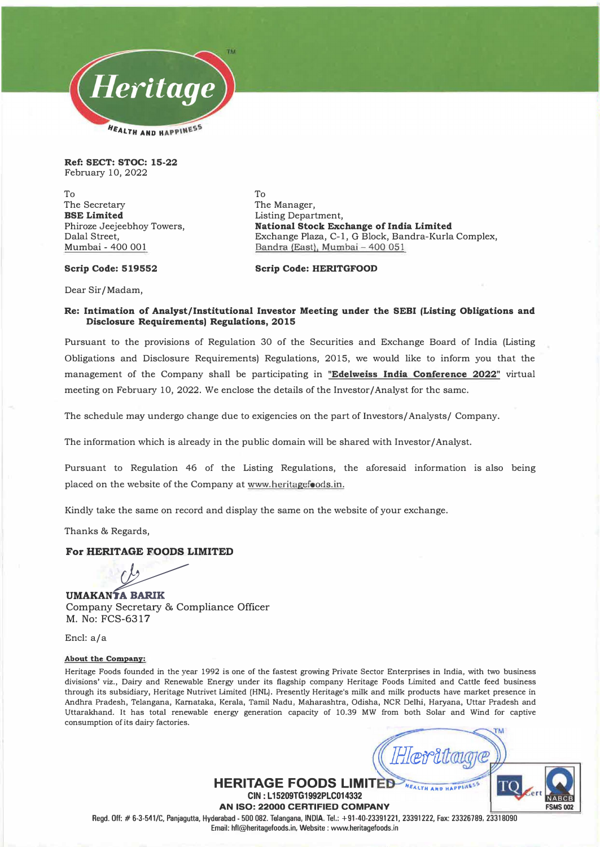

**Ref: SECT: STOC: 15-22**  February 10, 2022

To The Secretary **BSE Limited**  Phiroze Jeejeebhoy Towers, Dalal Street, Mumbai - 400 001

To The Manager, Listing Department, **National Stock Exchange of India Limited**  Exchange Plaza, C-1, G Block, Bandra-Kurla Complex, Bandra (East), Mumbai - 400 051

### **Scrip Code: 519552**

**Scrip Code: HERITGFOOD** 

Dear Sir/Madam,

### **Re: Intimation of Analyst/Institutional Investor Meeting under the SEBI (Listing Obligations and Disclosure Requirements) Regulations, 2015**

Pursuant to the provisions of Regulation 30 of the Securities and Exchange Board of India (Listing Obligations and Disclosure Requirements) Regulations, 2015, we would like to inform you that the management of the Company shall be participating in **"Edelweiss India Conference 2022"** virtual meeting on February 10, 2022. We enclose the details of the Investor/Analyst for the same.

The schedule may undergo change due to exigencies on the part of Investors/ Analysts/ Company.

The information which is already in the public domain will be shared with Investor/Analyst.

Pursuant to Regulation 46 of the Listing Regulations, the aforesaid information is also being placed on the website of the Company at www.heritagefoods.in.

Kindly take the same on record and display the same on the website of your exchange.

Thanks & Regards,

## **For HERITAGE FOODS LIMITED**

Company Secretary & Compliance Officer **UMAKANTA BARIK** M. No: FCS-6317

Encl: a/a

#### **About the Company:**

Heritage Foods founded in the year 1992 is one of the fastest growing Private Sector Enterprises in India, with two business divisions' viz., Dairy and Renewable Energy under its flagship company Heritage Foods Limited and Cattle feed business **through its subsidiary, Heritage Nutrivet Limited (HNL). Presently Heritage's milk and milk products have market presence in Andhra Pradesh, Telangana, Kamataka, Kerala, Tamil Nadu, Maharashtra, Odisha, NCR Delhi, Ha:ryana, Uttar Pradesh and**  Uttarakhand. It has total renewable energy generation capacity of 10.39 MW from both Solar and Wind for captive **consumption of its dairy factories.** 

**FSMS002**